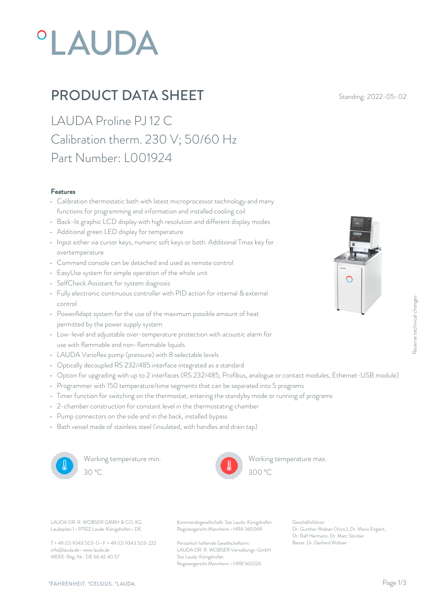# **°LAUDA**

## **PRODUCT DATA SHEET** Standing: 2022-05-02

LAUDA Proline PJ 12 C Calibration therm. 230 V; 50/60 Hz Part Number: L001924

#### Features

- Calibration thermostatic bath with latest microprocessor technology and many functions for programming and information and installed cooling coil
- Back-lit graphic LCD display with high resolution and different display modes
- Additional green LED display for temperature
- Input either via cursor keys, numeric soft keys or both. Additional Tmax key for overtemperature
- Command console can be detached and used as remote control
- EasyUse system for simple operation of the whole unit
- SelfCheck Assistant for system diagnosis
- Fully electronic continuous controller with PID action for internal & external control
- PowerAdapt system for the use of the maximum possible amount of heat permitted by the power supply system
- Low-level and adjustable over-temperature protection with acoustic alarm for use with flammable and non-flammable liquids
- LAUDA Varioflex pump (pressure) with 8 selectable levels
- Optically decoupled RS 232/485 interface integrated as a standard
- Option for upgrading with up to 2 interfaces (RS 232/485, Profibus, analogue or contact modules, Ethernet-USB module)
- Programmer with 150 temperature/time segments that can be separated into 5 programs
- Timer function for switching on the thermostat, entering the standyby mode or running of programs
- 2-chamber construction for constant level in the thermostating chamber
- Pump connectors on the side and in the back, installed bypass
- Bath vessel made of stainless steel (insulated, with handles and drain tap)



Working temperature min. 30 °C 300 °C



Working temperature max.  $300^{\circ}$ C

Laudaplatz 1 • 97922 Lauda-Königshofen • DE

T + 49 (0) 9343 503-0 • F + 49 (0) 9343 503-222 info@lauda.de • www.lauda.de WEEE-Reg-Nr.: DE 66 42 40 57

LAUDA DR. R. WOBSER GMBH & CO. KG Kommanditgesellschaft: Sitz Lauda-Königshofen Geschäftsführer: Registergericht Mannheim • HRA 560069

> Persönlich haftende Gesellschafterin: Beirat: Dr. Gerhard Wobse LAUDA DR. R. WOBSER Verwaltungs-GmbH Sitz Lauda-Königshofen Registergericht Mannheim • HRB 560226

Geschäftsführer: Dr. Gunther Wobser (Vors.), Dr. Mario Englert, Dr. Ralf Hermann, Dr. Marc Stricker Execution Controllers, Ethernet-USB module)<br>Being of programs<br>ams<br>Being of programs<br>Periature max.<br>Dr. Gerhard Wobser (Vors.), Dr. Mario Englert,<br>Dr. Reli Hermann, Dr. Marc Stricker<br>Beirat: Dr. Gerhard Wobser

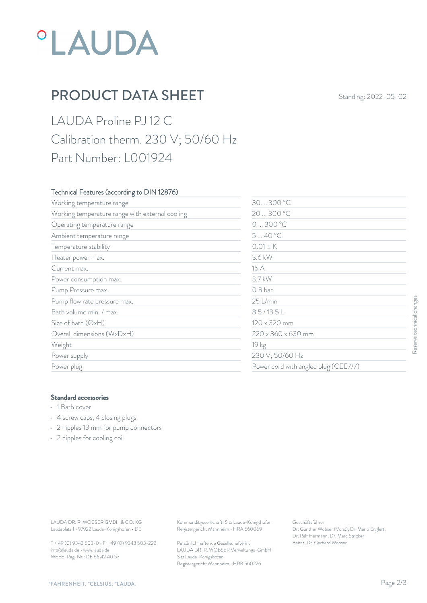## **°LAUDA**

## **PRODUCT DATA SHEET** Standing: 2022-05-02

LAUDA Proline PJ 12 C Calibration therm. 230 V; 50/60 Hz Part Number: L001924

#### Technical Features (according to DIN 12876)

|                                                                                                                                                           | 30  300 °C         |                                                                |                           |
|-----------------------------------------------------------------------------------------------------------------------------------------------------------|--------------------|----------------------------------------------------------------|---------------------------|
| Working temperature range with external cooling                                                                                                           |                    | 20  300 °C                                                     |                           |
| Operating temperature range                                                                                                                               | 0300 °C            |                                                                |                           |
| Ambient temperature range                                                                                                                                 |                    | 540 °C                                                         |                           |
| Temperature stability                                                                                                                                     | $0.01 \pm K$       |                                                                |                           |
| Heater power max.                                                                                                                                         | 3.6 kW             |                                                                |                           |
| Current max.                                                                                                                                              | 16 A               |                                                                |                           |
| Power consumption max.                                                                                                                                    |                    | 3.7 kW                                                         |                           |
| Pump Pressure max.                                                                                                                                        | 0.8 <sub>bar</sub> |                                                                |                           |
| Pump flow rate pressure max.                                                                                                                              |                    | 25 L/min                                                       |                           |
| Bath volume min. / max.                                                                                                                                   |                    | 8.5/13.5L                                                      |                           |
| Size of bath (ØxH)<br>Overall dimensions (WxDxH)<br>Weight<br>Power supply                                                                                |                    | 120 x 320 mm<br>220 x 360 x 630 mm<br>19 kg<br>230 V; 50/60 Hz | Reserve technical changes |
|                                                                                                                                                           |                    |                                                                |                           |
|                                                                                                                                                           |                    |                                                                |                           |
|                                                                                                                                                           |                    |                                                                |                           |
| Power plug                                                                                                                                                |                    | Power cord with angled plug (CEE7/7)                           |                           |
| <b>Standard accessories</b><br>• 1 Bath cover<br>• 4 screw caps, 4 closing plugs<br>• 2 nipples 13 mm for pump connectors<br>• 2 nipples for cooling coil |                    |                                                                |                           |
|                                                                                                                                                           |                    |                                                                |                           |

#### Standard accessories

- 1 Bath cover
- 4 screw caps, 4 closing plugs
- 2 nipples 13 mm for pump connectors
- 2 nipples for cooling coil

T + 49 (0) 9343 503-0 • F + 49 (0) 9343 503-222 info@lauda.de • www.lauda.de WEEE-Reg-Nr.: DE 66 42 40 57

> Persönlich haftende Gesellschafterin: Beirat: Dr. Gerhard Wobse LAUDA DR. R. WOBSER Verwaltungs-GmbH Sitz Lauda-Königshofen Registergericht Mannheim • HRB 560226